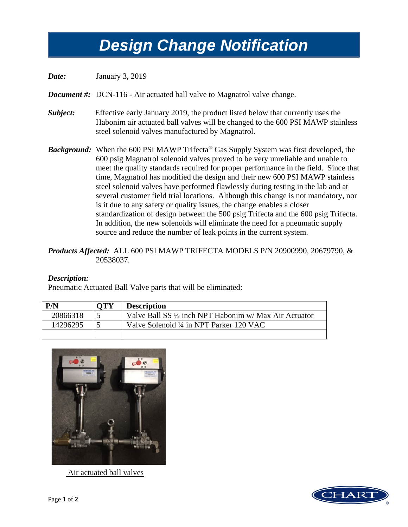## *Design Change Notification Design Change Notification*

*Date:* January 3, 2019

*Document #:* DCN-116 - Air actuated ball valve to Magnatrol valve change.

- *Subject:* Effective early January 2019, the product listed below that currently uses the Habonim air actuated ball valves will be changed to the 600 PSI MAWP stainless steel solenoid valves manufactured by Magnatrol.
- *Background:* When the 600 PSI MAWP Trifecta® Gas Supply System was first developed, the 600 psig Magnatrol solenoid valves proved to be very unreliable and unable to meet the quality standards required for proper performance in the field. Since that time, Magnatrol has modified the design and their new 600 PSI MAWP stainless steel solenoid valves have performed flawlessly during testing in the lab and at several customer field trial locations. Although this change is not mandatory, nor is it due to any safety or quality issues, the change enables a closer standardization of design between the 500 psig Trifecta and the 600 psig Trifecta. In addition, the new solenoids will eliminate the need for a pneumatic supply source and reduce the number of leak points in the current system.

## *Products Affected:* ALL 600 PSI MAWP TRIFECTA MODELS P/N 20900990, 20679790, & 20538037.

## *Description:*

Pneumatic Actuated Ball Valve parts that will be eliminated:

| P/N      | <b>OTY</b> | <b>Description</b>                                     |
|----------|------------|--------------------------------------------------------|
| 20866318 |            | Valve Ball SS 1/2 inch NPT Habonim w/ Max Air Actuator |
| 14296295 |            | Valve Solenoid ¼ in NPT Parker 120 VAC                 |
|          |            |                                                        |



Air actuated ball valves